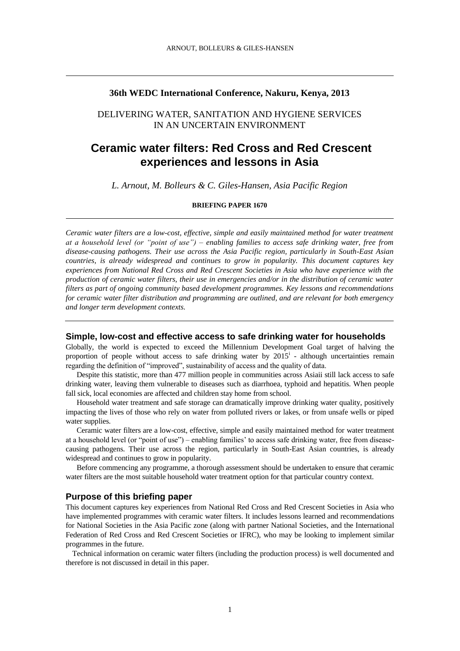# **36th WEDC International Conference, Nakuru, Kenya, 2013**

# DELIVERING WATER, SANITATION AND HYGIENE SERVICES IN AN UNCERTAIN ENVIRONMENT

# **Ceramic water filters: Red Cross and Red Crescent experiences and lessons in Asia**

*L. Arnout, M. Bolleurs & C. Giles-Hansen, Asia Pacific Region*

**BRIEFING PAPER 1670**

*Ceramic water filters are a low-cost, effective, simple and easily maintained method for water treatment at a household level (or "point of use") – enabling families to access safe drinking water, free from disease-causing pathogens. Their use across the Asia Pacific region, particularly in South-East Asian countries, is already widespread and continues to grow in popularity. This document captures key experiences from National Red Cross and Red Crescent Societies in Asia who have experience with the production of ceramic water filters, their use in emergencies and/or in the distribution of ceramic water filters as part of ongoing community based development programmes. Key lessons and recommendations for ceramic water filter distribution and programming are outlined, and are relevant for both emergency and longer term development contexts.* 

# **Simple, low-cost and effective access to safe drinking water for households**

Globally, the world is expected to exceed the Millennium Development Goal target of halving the proportion of people without access to safe drinking water by  $2015^{\mathrm{i}}$  - although uncertainties remain regarding the definition of "improved", sustainability of access and the quality of data.

 Despite this statistic, more than 477 million people in communities across Asiaii still lack access to safe drinking water, leaving them vulnerable to diseases such as diarrhoea, typhoid and hepatitis. When people fall sick, local economies are affected and children stay home from school.

 Household water treatment and safe storage can dramatically improve drinking water quality, positively impacting the lives of those who rely on water from polluted rivers or lakes, or from unsafe wells or piped water supplies.

 Ceramic water filters are a low-cost, effective, simple and easily maintained method for water treatment at a household level (or "point of use") – enabling families' to access safe drinking water, free from diseasecausing pathogens. Their use across the region, particularly in South-East Asian countries, is already widespread and continues to grow in popularity.

 Before commencing any programme, a thorough assessment should be undertaken to ensure that ceramic water filters are the most suitable household water treatment option for that particular country context.

#### **Purpose of this briefing paper**

This document captures key experiences from National Red Cross and Red Crescent Societies in Asia who have implemented programmes with ceramic water filters. It includes lessons learned and recommendations for National Societies in the Asia Pacific zone (along with partner National Societies, and the International Federation of Red Cross and Red Crescent Societies or IFRC), who may be looking to implement similar programmes in the future.

Technical information on ceramic water filters (including the production process) is well documented and therefore is not discussed in detail in this paper.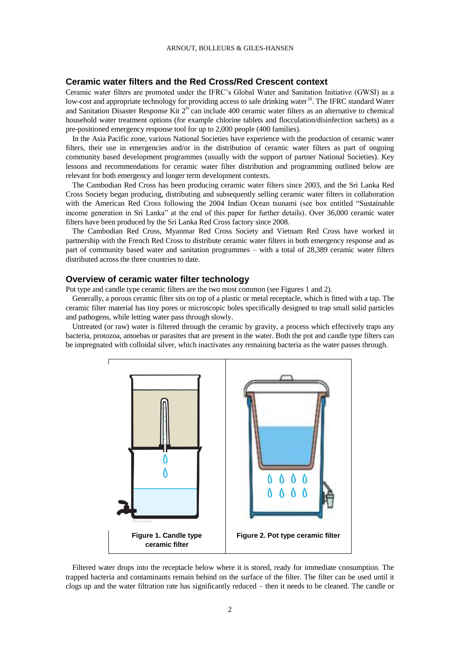# **Ceramic water filters and the Red Cross/Red Crescent context**

Ceramic water filters are promoted under the IFRC's Global Water and Sanitation Initiative (GWSI) as a low-cost and appropriate technology for providing access to safe drinking water<sup>iii</sup>. The IFRC standard Water and Sanitation Disaster Response Kit 2<sup>iv</sup> can include 400 ceramic water filters as an alternative to chemical household water treatment options (for example chlorine tablets and flocculation/disinfection sachets) as a pre-positioned emergency response tool for up to 2,000 people (400 families).

In the Asia Pacific zone, various National Societies have experience with the production of ceramic water filters, their use in emergencies and/or in the distribution of ceramic water filters as part of ongoing community based development programmes (usually with the support of partner National Societies). Key lessons and recommendations for ceramic water filter distribution and programming outlined below are relevant for both emergency and longer term development contexts.

The Cambodian Red Cross has been producing ceramic water filters since 2003, and the Sri Lanka Red Cross Society began producing, distributing and subsequently selling ceramic water filters in collaboration with the American Red Cross following the 2004 Indian Ocean tsunami (see box entitled "Sustainable income generation in Sri Lanka" at the end of this paper for further details). Over 36,000 ceramic water filters have been produced by the Sri Lanka Red Cross factory since 2008.

The Cambodian Red Cross, Myanmar Red Cross Society and Vietnam Red Cross have worked in partnership with the French Red Cross to distribute ceramic water filters in both emergency response and as part of community based water and sanitation programmes – with a total of 28,389 ceramic water filters distributed across the three countries to date.

#### **Overview of ceramic water filter technology**

Pot type and candle type ceramic filters are the two most common (see Figures 1 and 2).

Generally, a porous ceramic filter sits on top of a plastic or metal receptacle, which is fitted with a tap. The ceramic filter material has tiny pores or microscopic holes specifically designed to trap small solid particles and pathogens, while letting water pass through slowly.

Untreated (or raw) water is filtered through the ceramic by gravity, a process which effectively traps any bacteria, protozoa, amoebas or parasites that are present in the water. Both the pot and candle type filters can be impregnated with colloidal silver, which inactivates any remaining bacteria as the water passes through.



Filtered water drops into the receptacle below where it is stored, ready for immediate consumption. The trapped bacteria and contaminants remain behind on the surface of the filter. The filter can be used until it clogs up and the water filtration rate has significantly reduced – then it needs to be cleaned. The candle or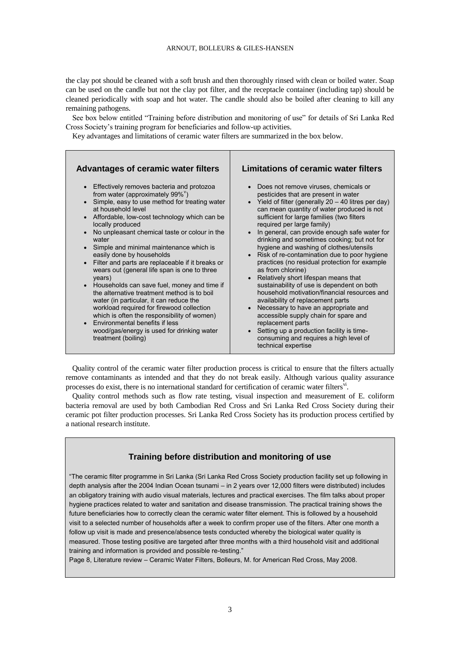the clay pot should be cleaned with a soft brush and then thoroughly rinsed with clean or boiled water. Soap can be used on the candle but not the clay pot filter, and the receptacle container (including tap) should be cleaned periodically with soap and hot water. The candle should also be boiled after cleaning to kill any remaining pathogens.

See box below entitled "Training before distribution and monitoring of use" for details of Sri Lanka Red Cross Society's training program for beneficiaries and follow-up activities.

Key advantages and limitations of ceramic water filters are summarized in the box below.



Quality control of the ceramic water filter production process is critical to ensure that the filters actually remove contaminants as intended and that they do not break easily. Although various quality assurance processes do exist, there is no international standard for certification of ceramic water filters<sup>vi</sup>.

Quality control methods such as flow rate testing, visual inspection and measurement of E. coliform bacteria removal are used by both Cambodian Red Cross and Sri Lanka Red Cross Society during their ceramic pot filter production processes. Sri Lanka Red Cross Society has its production process certified by a national research institute.

# **Training before distribution and monitoring of use**

"The ceramic filter programme in Sri Lanka (Sri Lanka Red Cross Society production facility set up following in depth analysis after the 2004 Indian Ocean tsunami – in 2 years over 12,000 filters were distributed) includes an obligatory training with audio visual materials, lectures and practical exercises. The film talks about proper hygiene practices related to water and sanitation and disease transmission. The practical training shows the future beneficiaries how to correctly clean the ceramic water filter element. This is followed by a household visit to a selected number of households after a week to confirm proper use of the filters. After one month a follow up visit is made and presence/absence tests conducted whereby the biological water quality is measured. Those testing positive are targeted after three months with a third household visit and additional training and information is provided and possible re-testing."

Page 8, Literature review – Ceramic Water Filters, Bolleurs, M. for American Red Cross, May 2008.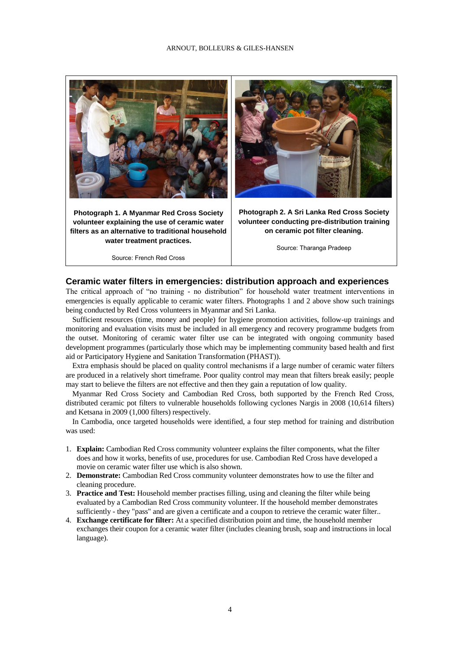#### ARNOUT, BOLLEURS & GILES-HANSEN



**Photograph 1. A Myanmar Red Cross Society volunteer explaining the use of ceramic water filters as an alternative to traditional household water treatment practices.**

Source: French Red Cross



**Photograph 2. A Sri Lanka Red Cross Society volunteer conducting pre-distribution training on ceramic pot filter cleaning.** 

Source: Tharanga Pradeep

## **Ceramic water filters in emergencies: distribution approach and experiences**

The critical approach of "no training - no distribution" for household water treatment interventions in emergencies is equally applicable to ceramic water filters. Photographs 1 and 2 above show such trainings being conducted by Red Cross volunteers in Myanmar and Sri Lanka.

Sufficient resources (time, money and people) for hygiene promotion activities, follow-up trainings and monitoring and evaluation visits must be included in all emergency and recovery programme budgets from the outset. Monitoring of ceramic water filter use can be integrated with ongoing community based development programmes (particularly those which may be implementing community based health and first aid or Participatory Hygiene and Sanitation Transformation (PHAST)).

Extra emphasis should be placed on quality control mechanisms if a large number of ceramic water filters are produced in a relatively short timeframe. Poor quality control may mean that filters break easily; people may start to believe the filters are not effective and then they gain a reputation of low quality.

Myanmar Red Cross Society and Cambodian Red Cross, both supported by the French Red Cross, distributed ceramic pot filters to vulnerable households following cyclones Nargis in 2008 (10,614 filters) and Ketsana in 2009 (1,000 filters) respectively.

In Cambodia, once targeted households were identified, a four step method for training and distribution was used:

- 1. **Explain:** Cambodian Red Cross community volunteer explains the filter components, what the filter does and how it works, benefits of use, procedures for use. Cambodian Red Cross have developed a movie on ceramic water filter use which is also shown.
- 2. **Demonstrate:** Cambodian Red Cross community volunteer demonstrates how to use the filter and cleaning procedure.
- 3. **Practice and Test:** Household member practises filling, using and cleaning the filter while being evaluated by a Cambodian Red Cross community volunteer. If the household member demonstrates sufficiently - they "pass" and are given a certificate and a coupon to retrieve the ceramic water filter..
- 4. **Exchange certificate for filter:** At a specified distribution point and time, the household member exchanges their coupon for a ceramic water filter (includes cleaning brush, soap and instructions in local language).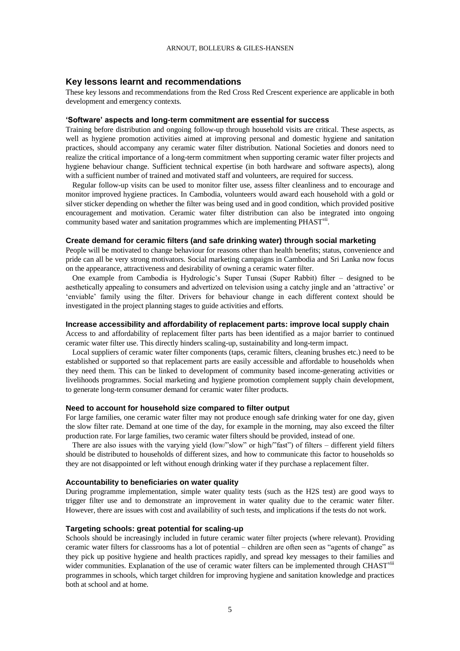## **Key lessons learnt and recommendations**

These key lessons and recommendations from the Red Cross Red Crescent experience are applicable in both development and emergency contexts.

#### **'Software' aspects and long-term commitment are essential for success**

Training before distribution and ongoing follow-up through household visits are critical. These aspects, as well as hygiene promotion activities aimed at improving personal and domestic hygiene and sanitation practices, should accompany any ceramic water filter distribution. National Societies and donors need to realize the critical importance of a long-term commitment when supporting ceramic water filter projects and hygiene behaviour change. Sufficient technical expertise (in both hardware and software aspects), along with a sufficient number of trained and motivated staff and volunteers, are required for success.

Regular follow-up visits can be used to monitor filter use, assess filter cleanliness and to encourage and monitor improved hygiene practices. In Cambodia, volunteers would award each household with a gold or silver sticker depending on whether the filter was being used and in good condition, which provided positive encouragement and motivation. Ceramic water filter distribution can also be integrated into ongoing community based water and sanitation programmes which are implementing PHAST<sup>vii</sup>.

#### **Create demand for ceramic filters (and safe drinking water) through social marketing**

People will be motivated to change behaviour for reasons other than health benefits; status, convenience and pride can all be very strong motivators. Social marketing campaigns in Cambodia and Sri Lanka now focus on the appearance, attractiveness and desirability of owning a ceramic water filter.

One example from Cambodia is Hydrologic's Super Tunsai (Super Rabbit) filter – designed to be aesthetically appealing to consumers and advertized on television using a catchy jingle and an 'attractive' or 'enviable' family using the filter. Drivers for behaviour change in each different context should be investigated in the project planning stages to guide activities and efforts.

#### **Increase accessibility and affordability of replacement parts: improve local supply chain**

Access to and affordability of replacement filter parts has been identified as a major barrier to continued ceramic water filter use. This directly hinders scaling-up, sustainability and long-term impact.

Local suppliers of ceramic water filter components (taps, ceramic filters, cleaning brushes etc.) need to be established or supported so that replacement parts are easily accessible and affordable to households when they need them. This can be linked to development of community based income-generating activities or livelihoods programmes. Social marketing and hygiene promotion complement supply chain development, to generate long-term consumer demand for ceramic water filter products.

#### **Need to account for household size compared to filter output**

For large families, one ceramic water filter may not produce enough safe drinking water for one day, given the slow filter rate. Demand at one time of the day, for example in the morning, may also exceed the filter production rate. For large families, two ceramic water filters should be provided, instead of one.

There are also issues with the varying yield (low/"slow" or high/"fast") of filters – different yield filters should be distributed to households of different sizes, and how to communicate this factor to households so they are not disappointed or left without enough drinking water if they purchase a replacement filter.

#### **Accountability to beneficiaries on water quality**

During programme implementation, simple water quality tests (such as the H2S test) are good ways to trigger filter use and to demonstrate an improvement in water quality due to the ceramic water filter. However, there are issues with cost and availability of such tests, and implications if the tests do not work.

#### **Targeting schools: great potential for scaling-up**

Schools should be increasingly included in future ceramic water filter projects (where relevant). Providing ceramic water filters for classrooms has a lot of potential – children are often seen as "agents of change" as they pick up positive hygiene and health practices rapidly, and spread key messages to their families and wider communities. Explanation of the use of ceramic water filters can be implemented through CHAST<sup>viii</sup> programmes in schools, which target children for improving hygiene and sanitation knowledge and practices both at school and at home.